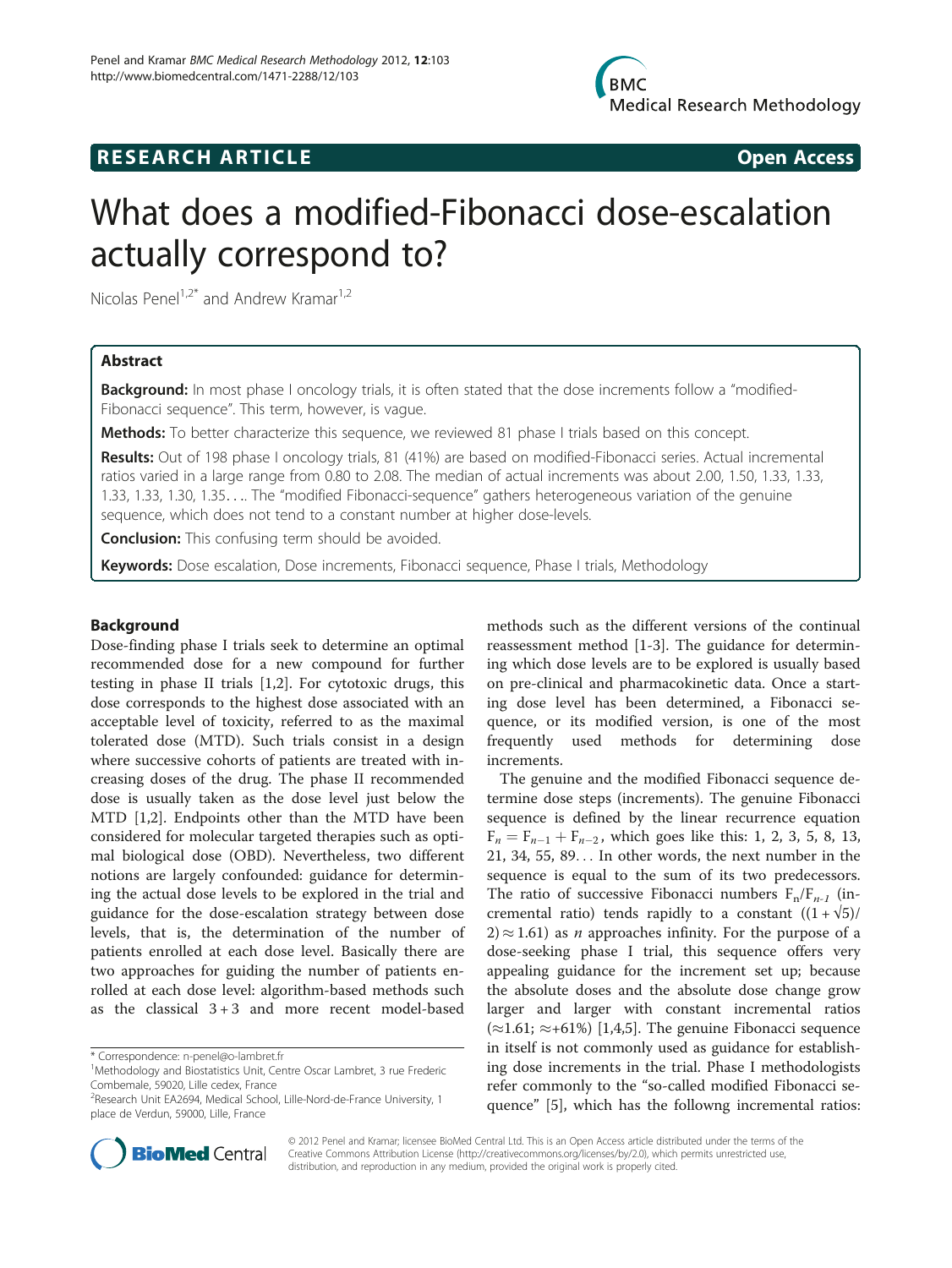# **RESEARCH ARTICLE Example 2014 CONSIDERING CONSIDERING CONSIDERING CONSIDERING CONSIDERING CONSIDERING CONSIDERING CONSIDERING CONSIDERING CONSIDERING CONSIDERING CONSIDERING CONSIDERING CONSIDERING CONSIDERING CONSIDE**

# What does a modified-Fibonacci dose-escalation actually correspond to?

Nicolas Penel<sup>1,2\*</sup> and Andrew Kramar<sup>1,2</sup>

# Abstract

Background: In most phase I oncology trials, it is often stated that the dose increments follow a "modified-Fibonacci sequence". This term, however, is vague.

Methods: To better characterize this sequence, we reviewed 81 phase I trials based on this concept.

Results: Out of 198 phase I oncology trials, 81 (41%) are based on modified-Fibonacci series. Actual incremental ratios varied in a large range from 0.80 to 2.08. The median of actual increments was about 2.00, 1.50, 1.33, 1.33, 1.33, 1.33, 1.30, 1.35.... The "modified Fibonacci-sequence" gathers heterogeneous variation of the genuine sequence, which does not tend to a constant number at higher dose-levels.

**Conclusion:** This confusing term should be avoided.

Keywords: Dose escalation, Dose increments, Fibonacci sequence, Phase I trials, Methodology

# Background

Dose-finding phase I trials seek to determine an optimal recommended dose for a new compound for further testing in phase II trials [[1,](#page-3-0)[2\]](#page-4-0). For cytotoxic drugs, this dose corresponds to the highest dose associated with an acceptable level of toxicity, referred to as the maximal tolerated dose (MTD). Such trials consist in a design where successive cohorts of patients are treated with increasing doses of the drug. The phase II recommended dose is usually taken as the dose level just below the MTD [\[1](#page-3-0)[,2](#page-4-0)]. Endpoints other than the MTD have been considered for molecular targeted therapies such as optimal biological dose (OBD). Nevertheless, two different notions are largely confounded: guidance for determining the actual dose levels to be explored in the trial and guidance for the dose-escalation strategy between dose levels, that is, the determination of the number of patients enrolled at each dose level. Basically there are two approaches for guiding the number of patients enrolled at each dose level: algorithm-based methods such as the classical  $3+3$  and more recent model-based



The genuine and the modified Fibonacci sequence determine dose steps (increments). The genuine Fibonacci sequence is defined by the linear recurrence equation  $F_n = F_{n-1} + F_{n-2}$ , which goes like this: 1, 2, 3, 5, 8, 13, 21, 24, 55, 80, 14 21, 34, 55, 89... In other words, the next number in the sequence is equal to the sum of its two predecessors. The ratio of successive Fibonacci numbers  $F_n/F_{n-1}$  (incremental ratio) tends rapidly to a constant  $((1 + \sqrt{5}))$  $2 \approx 1.61$ ) as *n* approaches infinity. For the purpose of a dose-seeking phase I trial, this sequence offers very appealing guidance for the increment set up; because the absolute doses and the absolute dose change grow larger and larger with constant incremental ratios  $(\approx 1.61; \approx +61\%)$  [[1,](#page-3-0)[4,5](#page-4-0)]. The genuine Fibonacci sequence in itself is not commonly used as guidance for establishing dose increments in the trial. Phase I methodologists refer commonly to the "so-called modified Fibonacci sequence" [[5\]](#page-4-0), which has the followng incremental ratios:



© 2012 Penel and Kramar; licensee BioMed Central Ltd. This is an Open Access article distributed under the terms of the Creative Commons Attribution License (<http://creativecommons.org/licenses/by/2.0>), which permits unrestricted use, distribution, and reproduction in any medium, provided the original work is properly cited.

<sup>\*</sup> Correspondence: [n-penel@o-lambret.fr](mailto:n--nel@o-lambret.fr) <sup>1</sup>

Methodology and Biostatistics Unit, Centre Oscar Lambret, 3 rue Frederic Combemale, 59020, Lille cedex, France

<sup>&</sup>lt;sup>2</sup> Research Unit EA2694, Medical School, Lille-Nord-de-France University, 1 place de Verdun, 59000, Lille, France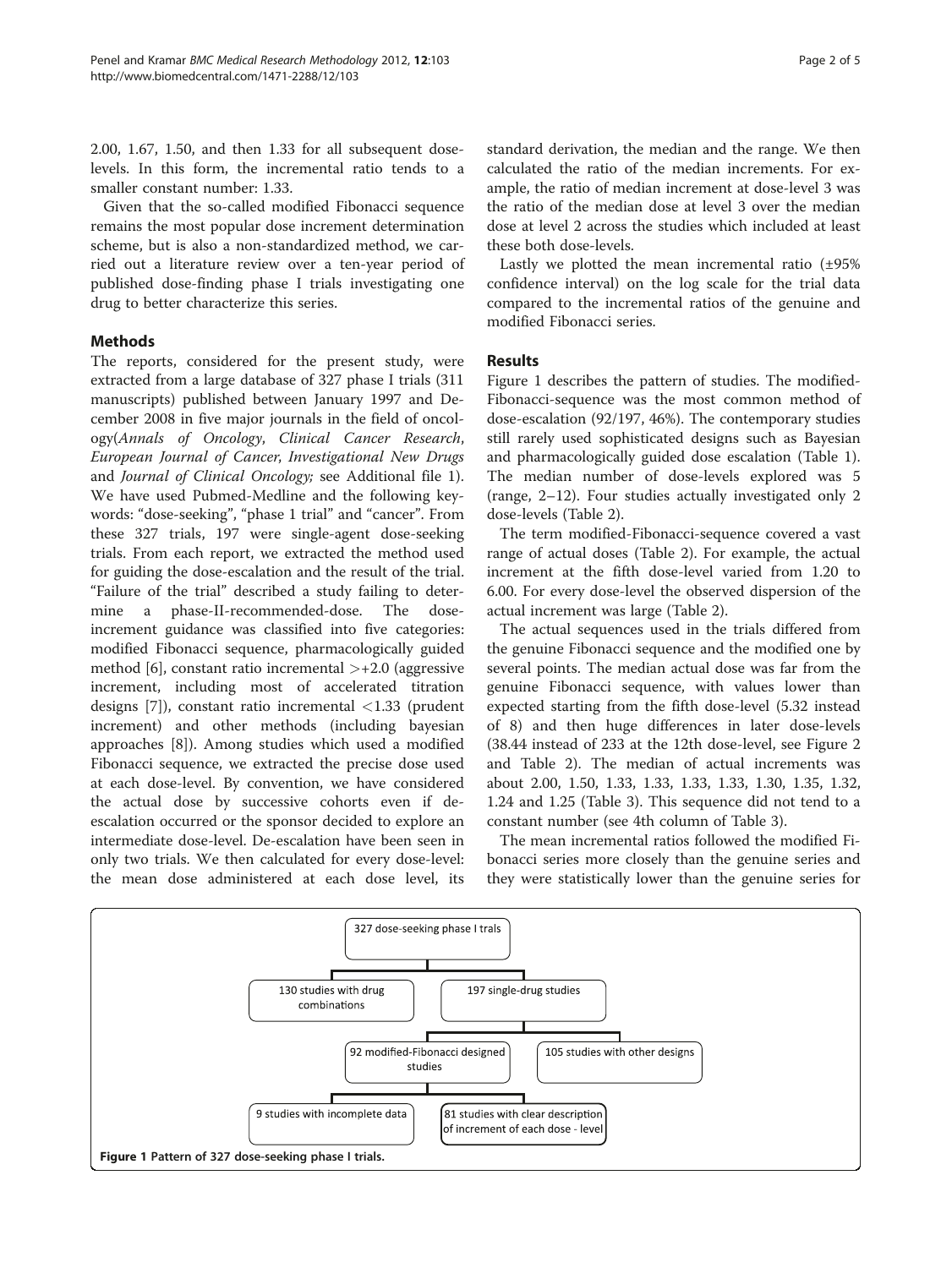2.00, 1.67, 1.50, and then 1.33 for all subsequent doselevels. In this form, the incremental ratio tends to a smaller constant number: 1.33.

Given that the so-called modified Fibonacci sequence remains the most popular dose increment determination scheme, but is also a non-standardized method, we carried out a literature review over a ten-year period of published dose-finding phase I trials investigating one drug to better characterize this series.

# Methods

The reports, considered for the present study, were extracted from a large database of 327 phase I trials (311 manuscripts) published between January 1997 and December 2008 in five major journals in the field of oncology(Annals of Oncology, Clinical Cancer Research, European Journal of Cancer, Investigational New Drugs and Journal of Clinical Oncology; see Additional file [1](#page-3-0)). We have used Pubmed-Medline and the following keywords: "dose-seeking", "phase 1 trial" and "cancer". From these 327 trials, 197 were single-agent dose-seeking trials. From each report, we extracted the method used for guiding the dose-escalation and the result of the trial. "Failure of the trial" described a study failing to determine a phase-II-recommended-dose. The doseincrement guidance was classified into five categories: modified Fibonacci sequence, pharmacologically guided method [\[6](#page-4-0)], constant ratio incremental  $\ge$ +2.0 (aggressive increment, including most of accelerated titration designs [[7\]](#page-4-0)), constant ratio incremental <1.33 (prudent increment) and other methods (including bayesian approaches [[8\]](#page-4-0)). Among studies which used a modified Fibonacci sequence, we extracted the precise dose used at each dose-level. By convention, we have considered the actual dose by successive cohorts even if deescalation occurred or the sponsor decided to explore an intermediate dose-level. De-escalation have been seen in only two trials. We then calculated for every dose-level: the mean dose administered at each dose level, its standard derivation, the median and the range. We then calculated the ratio of the median increments. For example, the ratio of median increment at dose-level 3 was the ratio of the median dose at level 3 over the median dose at level 2 across the studies which included at least these both dose-levels.

Lastly we plotted the mean incremental ratio (±95% confidence interval) on the log scale for the trial data compared to the incremental ratios of the genuine and modified Fibonacci series.

# Results

Figure 1 describes the pattern of studies. The modified-Fibonacci-sequence was the most common method of dose-escalation (92/197, 46%). The contemporary studies still rarely used sophisticated designs such as Bayesian and pharmacologically guided dose escalation (Table [1](#page-2-0)). The median number of dose-levels explored was 5 (range, 2–12). Four studies actually investigated only 2 dose-levels (Table [2](#page-2-0)).

The term modified-Fibonacci-sequence covered a vast range of actual doses (Table [2](#page-2-0)). For example, the actual increment at the fifth dose-level varied from 1.20 to 6.00. For every dose-level the observed dispersion of the actual increment was large (Table [2](#page-2-0)).

The actual sequences used in the trials differed from the genuine Fibonacci sequence and the modified one by several points. The median actual dose was far from the genuine Fibonacci sequence, with values lower than expected starting from the fifth dose-level (5.32 instead of 8) and then huge differences in later dose-levels (38.44 instead of 233 at the 12th dose-level, see Figure [2](#page-2-0) and Table [2\)](#page-2-0). The median of actual increments was about 2.00, 1.50, 1.33, 1.33, 1.33, 1.33, 1.30, 1.35, 1.32, 1.24 and 1.25 (Table [3](#page-3-0)). This sequence did not tend to a constant number (see 4th column of Table [3](#page-3-0)).

The mean incremental ratios followed the modified Fibonacci series more closely than the genuine series and they were statistically lower than the genuine series for

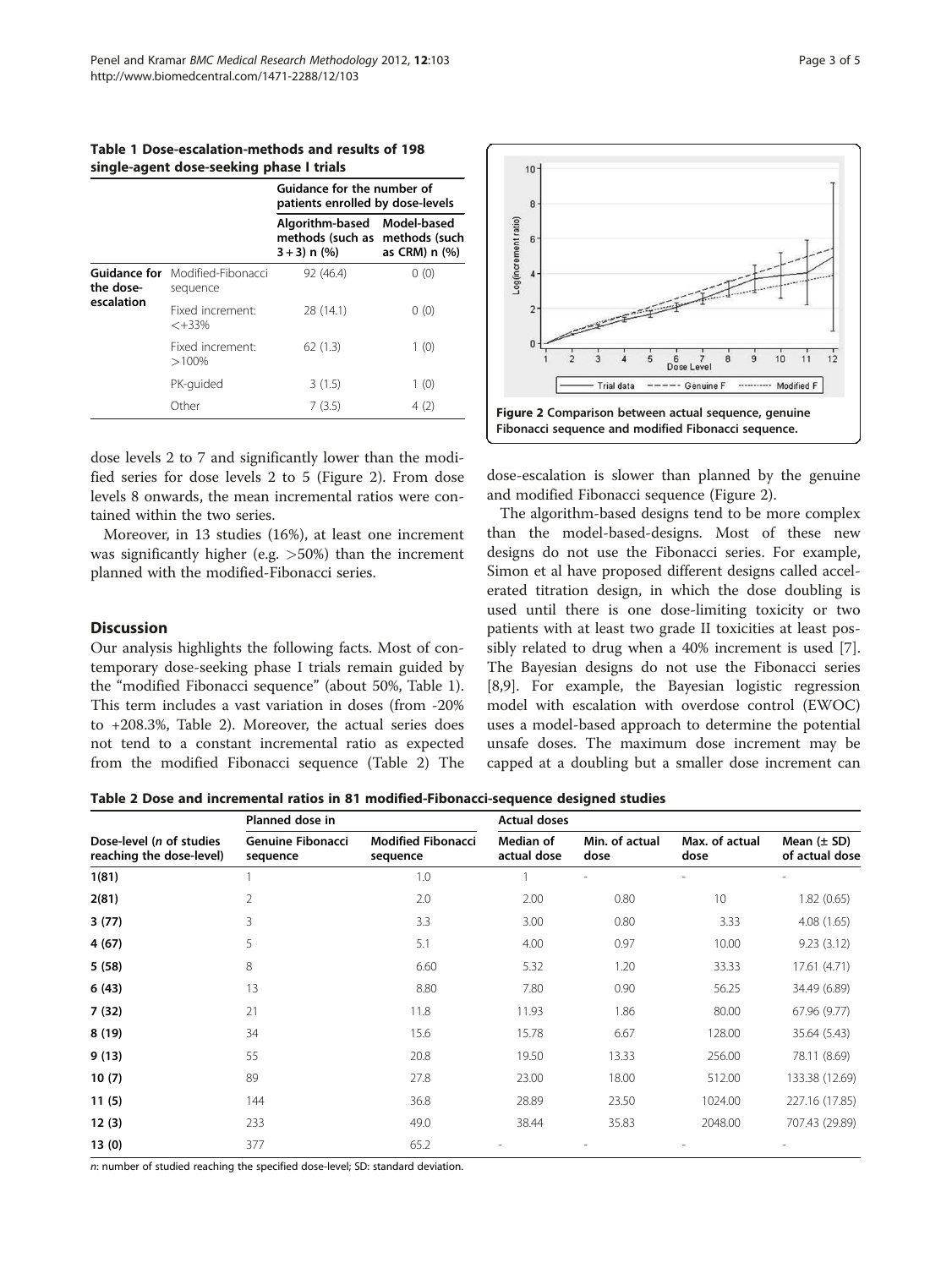<span id="page-2-0"></span>Table 1 Dose-escalation-methods and results of 198 single-agent dose-seeking phase I trials

|                                         |                                | Guidance for the number of<br>patients enrolled by dose-levels |                                               |  |
|-----------------------------------------|--------------------------------|----------------------------------------------------------------|-----------------------------------------------|--|
|                                         |                                | Algorithm-based<br>methods (such as<br>$3 + 3$ ) n $(%$ )      | Model-based<br>methods (such<br>as CRM) n (%) |  |
| Guidance for<br>the dose-<br>escalation | Modified-Fibonacci<br>sequence | 92 (46.4)                                                      | 0(0)                                          |  |
|                                         | Fixed increment:<br>$< +33%$   | 28 (14.1)                                                      | 0(0)                                          |  |
|                                         | Fixed increment:<br>$>100\%$   | 62(1.3)                                                        | 1(0)                                          |  |
|                                         | PK-guided                      | 3(1.5)                                                         | 1(0)                                          |  |
|                                         | Other                          | 7(3.5)                                                         | 4(2)                                          |  |

dose levels 2 to 7 and significantly lower than the modified series for dose levels 2 to 5 (Figure 2). From dose levels 8 onwards, the mean incremental ratios were contained within the two series.

Moreover, in 13 studies (16%), at least one increment was significantly higher (e.g. >50%) than the increment planned with the modified-Fibonacci series.

# **Discussion**

Our analysis highlights the following facts. Most of contemporary dose-seeking phase I trials remain guided by the "modified Fibonacci sequence" (about 50%, Table 1). This term includes a vast variation in doses (from -20% to +208.3%, Table 2). Moreover, the actual series does not tend to a constant incremental ratio as expected from the modified Fibonacci sequence (Table 2) The



dose-escalation is slower than planned by the genuine and modified Fibonacci sequence (Figure 2).

The algorithm-based designs tend to be more complex than the model-based-designs. Most of these new designs do not use the Fibonacci series. For example, Simon et al have proposed different designs called accelerated titration design, in which the dose doubling is used until there is one dose-limiting toxicity or two patients with at least two grade II toxicities at least possibly related to drug when a 40% increment is used [\[7](#page-4-0)]. The Bayesian designs do not use the Fibonacci series [[8,9\]](#page-4-0). For example, the Bayesian logistic regression model with escalation with overdose control (EWOC) uses a model-based approach to determine the potential unsafe doses. The maximum dose increment may be capped at a doubling but a smaller dose increment can

Table 2 Dose and incremental ratios in 81 modified-Fibonacci-sequence designed studies

|                                                      | Planned dose in                      |                                       | <b>Actual doses</b>      |                        |                        |                                   |
|------------------------------------------------------|--------------------------------------|---------------------------------------|--------------------------|------------------------|------------------------|-----------------------------------|
| Dose-level (n of studies<br>reaching the dose-level) | <b>Genuine Fibonacci</b><br>sequence | <b>Modified Fibonacci</b><br>sequence | Median of<br>actual dose | Min. of actual<br>dose | Max. of actual<br>dose | Mean $(\pm$ SD)<br>of actual dose |
| 1(81)                                                |                                      | 1.0                                   |                          | L,                     |                        |                                   |
| 2(81)                                                | $\overline{2}$                       | 2.0                                   | 2.00                     | 0.80                   | 10                     | 1.82(0.65)                        |
| 3(77)                                                | 3                                    | 3.3                                   | 3.00                     | 0.80                   | 3.33                   | 4.08(1.65)                        |
| 4(67)                                                | 5                                    | 5.1                                   | 4.00                     | 0.97                   | 10.00                  | 9.23(3.12)                        |
| 5(58)                                                | 8                                    | 6.60                                  | 5.32                     | 1.20                   | 33.33                  | 17.61 (4.71)                      |
| 6(43)                                                | 13                                   | 8.80                                  | 7.80                     | 0.90                   | 56.25                  | 34.49 (6.89)                      |
| 7(32)                                                | 21                                   | 11.8                                  | 11.93                    | 1.86                   | 80.00                  | 67.96 (9.77)                      |
| 8(19)                                                | 34                                   | 15.6                                  | 15.78                    | 6.67                   | 128.00                 | 35.64 (5.43)                      |
| 9(13)                                                | 55                                   | 20.8                                  | 19.50                    | 13.33                  | 256.00                 | 78.11 (8.69)                      |
| 10(7)                                                | 89                                   | 27.8                                  | 23.00                    | 18.00                  | 512.00                 | 133.38 (12.69)                    |
| 11(5)                                                | 144                                  | 36.8                                  | 28.89                    | 23.50                  | 1024.00                | 227.16 (17.85)                    |
| 12(3)                                                | 233                                  | 49.0                                  | 38.44                    | 35.83                  | 2048.00                | 707.43 (29.89)                    |
| 13(0)                                                | 377                                  | 65.2                                  |                          |                        |                        |                                   |

n: number of studied reaching the specified dose-level; SD: standard deviation.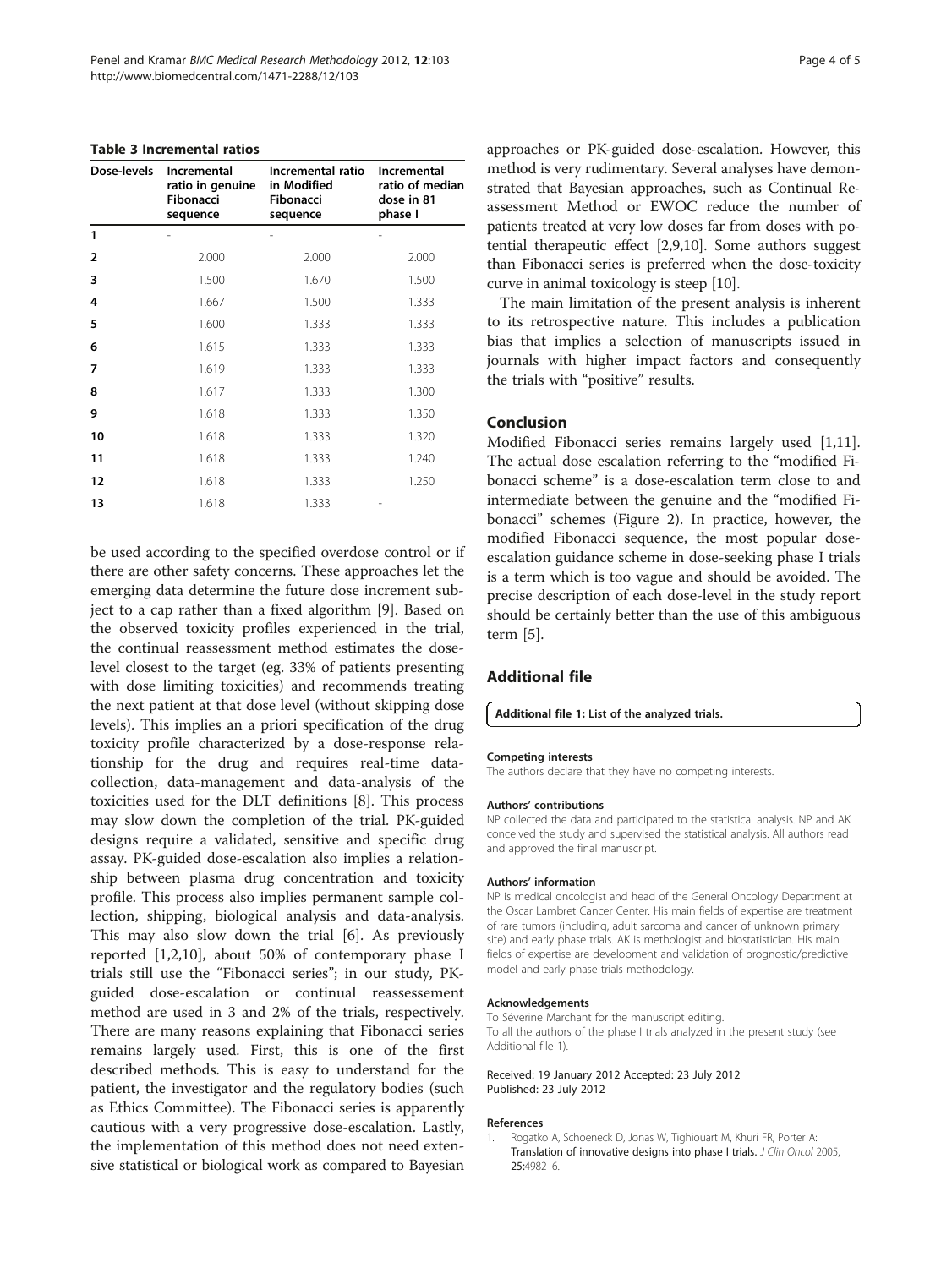#### <span id="page-3-0"></span>Table 3 Incremental ratios

| Dose-levels    | Incremental<br>ratio in genuine<br>Fibonacci<br>sequence | Incremental ratio<br>in Modified<br>Fibonacci<br>sequence | Incremental<br>ratio of median<br>dose in 81<br>phase I |
|----------------|----------------------------------------------------------|-----------------------------------------------------------|---------------------------------------------------------|
| 1              |                                                          |                                                           |                                                         |
| $\overline{2}$ | 2.000                                                    | 2.000                                                     | 2.000                                                   |
| 3              | 1.500                                                    | 1.670                                                     | 1.500                                                   |
| 4              | 1.667                                                    | 1.500                                                     | 1.333                                                   |
| 5              | 1.600                                                    | 1.333                                                     | 1.333                                                   |
| 6              | 1.615                                                    | 1.333                                                     | 1.333                                                   |
| 7              | 1.619                                                    | 1.333                                                     | 1.333                                                   |
| 8              | 1.617                                                    | 1.333                                                     | 1.300                                                   |
| 9              | 1.618                                                    | 1.333                                                     | 1.350                                                   |
| 10             | 1.618                                                    | 1.333                                                     | 1.320                                                   |
| 11             | 1.618                                                    | 1.333                                                     | 1.240                                                   |
| 12             | 1.618                                                    | 1.333                                                     | 1.250                                                   |
| 13             | 1.618                                                    | 1.333                                                     |                                                         |

be used according to the specified overdose control or if there are other safety concerns. These approaches let the emerging data determine the future dose increment subject to a cap rather than a fixed algorithm [\[9\]](#page-4-0). Based on the observed toxicity profiles experienced in the trial, the continual reassessment method estimates the doselevel closest to the target (eg. 33% of patients presenting with dose limiting toxicities) and recommends treating the next patient at that dose level (without skipping dose levels). This implies an a priori specification of the drug toxicity profile characterized by a dose-response relationship for the drug and requires real-time datacollection, data-management and data-analysis of the toxicities used for the DLT definitions [\[8](#page-4-0)]. This process may slow down the completion of the trial. PK-guided designs require a validated, sensitive and specific drug assay. PK-guided dose-escalation also implies a relationship between plasma drug concentration and toxicity profile. This process also implies permanent sample collection, shipping, biological analysis and data-analysis. This may also slow down the trial [\[6](#page-4-0)]. As previously reported [1,[2,10\]](#page-4-0), about 50% of contemporary phase I trials still use the "Fibonacci series"; in our study, PKguided dose-escalation or continual reassessement method are used in 3 and 2% of the trials, respectively. There are many reasons explaining that Fibonacci series remains largely used. First, this is one of the first described methods. This is easy to understand for the patient, the investigator and the regulatory bodies (such as Ethics Committee). The Fibonacci series is apparently cautious with a very progressive dose-escalation. Lastly, the implementation of this method does not need extensive statistical or biological work as compared to Bayesian

approaches or PK-guided dose-escalation. However, this method is very rudimentary. Several analyses have demonstrated that Bayesian approaches, such as Continual Reassessment Method or EWOC reduce the number of patients treated at very low doses far from doses with potential therapeutic effect [[2,9,10](#page-4-0)]. Some authors suggest than Fibonacci series is preferred when the dose-toxicity curve in animal toxicology is steep [\[10\]](#page-4-0).

The main limitation of the present analysis is inherent to its retrospective nature. This includes a publication bias that implies a selection of manuscripts issued in journals with higher impact factors and consequently the trials with "positive" results.

# Conclusion

Modified Fibonacci series remains largely used [1[,11](#page-4-0)]. The actual dose escalation referring to the "modified Fibonacci scheme" is a dose-escalation term close to and intermediate between the genuine and the "modified Fibonacci" schemes (Figure [2](#page-2-0)). In practice, however, the modified Fibonacci sequence, the most popular doseescalation guidance scheme in dose-seeking phase I trials is a term which is too vague and should be avoided. The precise description of each dose-level in the study report should be certainly better than the use of this ambiguous term [\[5](#page-4-0)].

### Additional file

#### [Additional file 1:](http://www.biomedcentral.com/content/supplementary/1471-2288-12-103.docx) List of the analyzed trials.

#### Competing interests

The authors declare that they have no competing interests.

#### Authors' contributions

NP collected the data and participated to the statistical analysis. NP and AK conceived the study and supervised the statistical analysis. All authors read and approved the final manuscript.

#### Authors' information

NP is medical oncologist and head of the General Oncology Department at the Oscar Lambret Cancer Center. His main fields of expertise are treatment of rare tumors (including, adult sarcoma and cancer of unknown primary site) and early phase trials. AK is methologist and biostatistician. His main fields of expertise are development and validation of prognostic/predictive model and early phase trials methodology.

#### Acknowledgements

To Séverine Marchant for the manuscript editing. To all the authors of the phase I trials analyzed in the present study (see Additional file 1).

Received: 19 January 2012 Accepted: 23 July 2012 Published: 23 July 2012

#### References

1. Rogatko A, Schoeneck D, Jonas W, Tighiouart M, Khuri FR, Porter A: Translation of innovative designs into phase I trials. J Clin Oncol 2005, 25:4982–6.